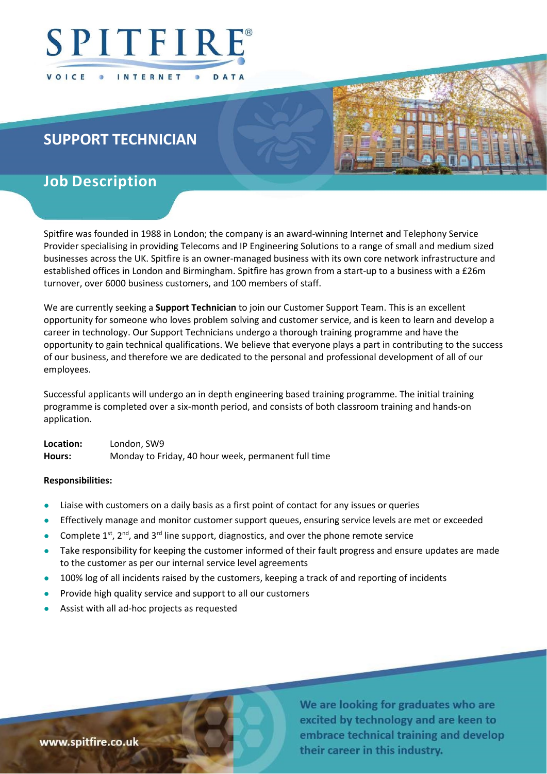

# SUPPORT TECHNICIAN

# Job Description

Spitfire was founded in 1988 in London; the company is an award-winning Internet and Telephony Service Provider specialising in providing Telecoms and IP Engineering Solutions to a range of small and medium sized businesses across the UK. Spitfire is an owner-managed business with its own core network infrastructure and established offices in London and Birmingham. Spitfire has grown from a start-up to a business with a £26m turnover, over 6000 business customers, and 100 members of staff.

We are currently seeking a **Support Technician** to join our Customer Support Team. This is an excellent opportunity for someone who loves problem solving and customer service, and is keen to learn and develop a career in technology. Our Support Technicians undergo a thorough training programme and have the opportunity to gain technical qualifications. We believe that everyone plays a part in contributing to the success of our business, and therefore we are dedicated to the personal and professional development of all of our employees.

Successful applicants will undergo an in depth engineering based training programme. The initial training programme is completed over a six-month period, and consists of both classroom training and hands-on application.

Location: London, SW9 Hours: Monday to Friday, 40 hour week, permanent full time

## Responsibilities:

- Liaise with customers on a daily basis as a first point of contact for any issues or queries
- Effectively manage and monitor customer support queues, ensuring service levels are met or exceeded
- Complete  $1^{st}$ ,  $2^{nd}$ , and  $3^{rd}$  line support, diagnostics, and over the phone remote service
- Take responsibility for keeping the customer informed of their fault progress and ensure updates are made to the customer as per our internal service level agreements
- 100% log of all incidents raised by the customers, keeping a track of and reporting of incidents
- Provide high quality service and support to all our customers
- Assist with all ad-hoc projects as requested

We are looking for graduates who are excited by technology and are keen to embrace technical training and develop their career in this industry.

www.spitfire.co.uk